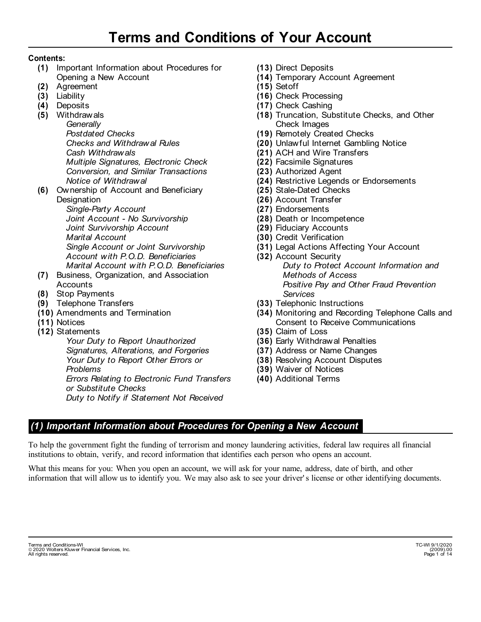#### **Contents:**

- (1) Important Information about Procedures for Opening a New Account
- Agreement **(2)**
- Liability **(3)**
- Deposits **(4)**
- Withdrawals **(5)**

*Generally Postdated Checks Checks and Withdrawal Rules Cash Withdrawals Multiple Signatures, Electronic Check Conversion, and Similar Transactions Notice of Withdrawal* 

Ownership of Account and Beneficiary **(6) Designation** *Single-Party Account* 

*Joint Account - No Survivorship Joint Survivorship Account Marital Account Single Account or Joint Survivorship Account with P.O.D. Beneficiaries Marital Account with P.O.D. Beneficiaries* 

- Business, Organization, and Association **(7) Accounts**
- Stop Payments **(8)**
- Telephone Transfers **(9)**
- Amendments and Termination **(10)**
- (11) Notices
- Statements **(12)**

*Your Duty to Report Unauthorized Signatures, Alterations, and Forgeries Your Duty to Report Other Errors or Problems Errors Relating to Electronic Fund Transfers or Substitute Checks Duty to Notify if Statement Not Received* 

- **(13)**  Direct Deposits
- **(14)**  Temporary Account Agreement
- **(15)**  Setoff
- **(16)**  Check Processing
- **(17)**  Check Cashing
- **(18)**  Truncation, Substitute Checks, and Other Check Images
- **(19)**  Remotely Created Checks
- **(20)**  Unlawful Internet Gambling Notice
- **(21)**  ACH and Wire Transfers
- **(22)**  Facsimile Signatures
- **(23)**  Authorized Agent
- **(24)**  Restrictive Legends or Endorsements
- **(25)**  Stale-Dated Checks
- **(26)**  Account Transfer
- **(27)**  Endorsements
- **(28)**  Death or Incompetence
- **(29)**  Fiduciary Accounts
- **(30)**  Credit Verification
- **(31)**  Legal Actions Affecting Your Account
- **(32)**  Account Security *Duty to Protect Account Information and Methods of Access Positive Pay and Other Fraud Prevention Services*
- **(33)**  Telephonic Instructions
- **(34)**  Monitoring and Recording Telephone Calls and Consent to Receive Communications
- **(35)**  Claim of Loss
- **(36)**  Early Withdrawal Penalties
- **(37)**  Address or Name Changes
- **(38)**  Resolving Account Disputes
- **(39)**  Waiver of Notices
- **(40)** Additional Terms

#### *(1) Important Information about Procedures for Opening a New Account*

To help the government fight the funding of terrorism and money laundering activities, federal law requires all financial institutions to obtain, verify, and record information that identifies each person who opens an account.

What this means for you: When you open an account, we will ask for your name, address, date of birth, and other information that will allow us to identify you. We may also ask to see your driver' s license or other identifying documents.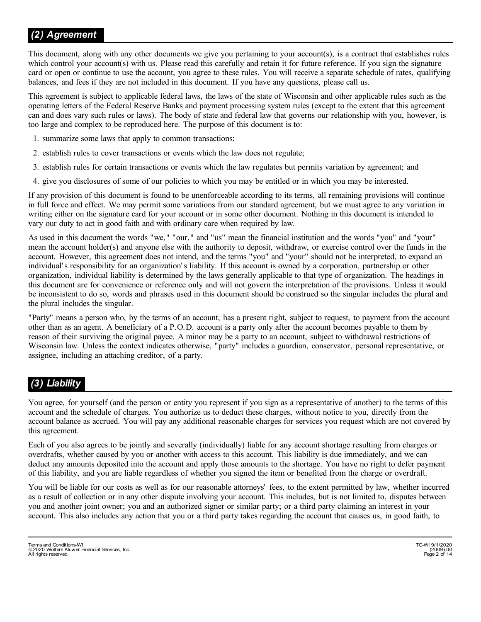This document, along with any other documents we give you pertaining to your account(s), is a contract that establishes rules which control your account(s) with us. Please read this carefully and retain it for future reference. If you sign the signature card or open or continue to use the account, you agree to these rules. You will receive a separate schedule of rates, qualifying balances, and fees if they are not included in this document. If you have any questions, please call us.

This agreement is subject to applicable federal laws, the laws of the state of Wisconsin and other applicable rules such as the operating letters of the Federal Reserve Banks and payment processing system rules (except to the extent that this agreement can and does vary such rules or laws). The body of state and federal law that governs our relationship with you, however, is too large and complex to be reproduced here. The purpose of this document is to:

- 1. summarize some laws that apply to common transactions;
- 2. establish rules to cover transactions or events which the law does not regulate;
- 3. establish rules for certain transactions or events which the law regulates but permits variation by agreement; and
- 4. give you disclosures of some of our policies to which you may be entitled or in which you may be interested.

If any provision of this document is found to be unenforceable according to its terms, all remaining provisions will continue in full force and effect. We may permit some variations from our standard agreement, but we must agree to any variation in writing either on the signature card for your account or in some other document. Nothing in this document is intended to vary our duty to act in good faith and with ordinary care when required by law.

As used in this document the words "we," "our," and "us" mean the financial institution and the words "you" and "your" mean the account holder(s) and anyone else with the authority to deposit, withdraw, or exercise control over the funds in the account. However, this agreement does not intend, and the terms "you" and "your" should not be interpreted, to expand an individual's responsibility for an organization's liability. If this account is owned by a corporation, partnership or other organization, individual liability is determined by the laws generally applicable to that type of organization. The headings in this document are for convenience or reference only and will not govern the interpretation of the provisions. Unless it would be inconsistent to do so, words and phrases used in this document should be construed so the singular includes the plural and the plural includes the singular.

"Party" means a person who, by the terms of an account, has a present right, subject to request, to payment from the account other than as an agent. A beneficiary of a P.O.D. account is a party only after the account becomes payable to them by reason of their surviving the original payee. A minor may be a party to an account, subject to withdrawal restrictions of Wisconsin law. Unless the context indicates otherwise, "party" includes a guardian, conservator, personal representative, or assignee, including an attaching creditor, of a party.

# *(3) Liability*

You agree, for yourself (and the person or entity you represent if you sign as a representative of another) to the terms of this account and the schedule of charges. You authorize us to deduct these charges, without notice to you, directly from the account balance as accrued. You will pay any additional reasonable charges for services you request which are not covered by this agreement.

Each of you also agrees to be jointly and severally (individually) liable for any account shortage resulting from charges or overdrafts, whether caused by you or another with access to this account. This liability is due immediately, and we can deduct any amounts deposited into the account and apply those amounts to the shortage. You have no right to defer payment of this liability, and you are liable regardless of whether you signed the item or benefited from the charge or overdraft.

You will be liable for our costs as well as for our reasonable attorneys' fees, to the extent permitted by law, whether incurred as a result of collection or in any other dispute involving your account. This includes, but is not limited to, disputes between you and another joint owner; you and an authorized signer or similar party; or a third party claiming an interest in your account. This also includes any action that you or a third party takes regarding the account that causes us, in good faith, to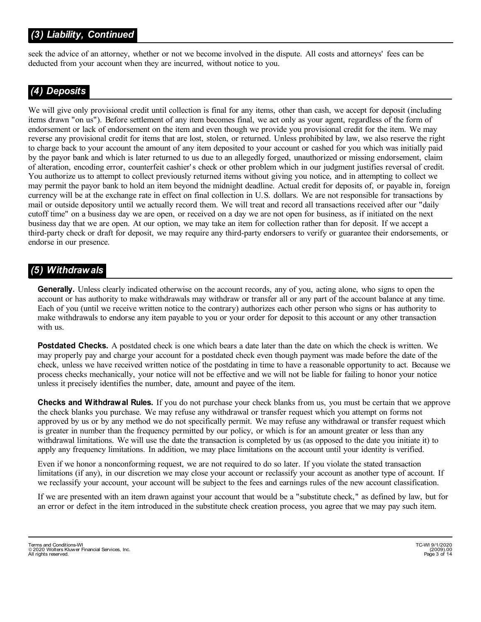# *(3) Liability, Continued*

seek the advice of an attorney, whether or not we become involved in the dispute. All costs and attorneys' fees can be deducted from your account when they are incurred, without notice to you.

## *(4) Deposits*

We will give only provisional credit until collection is final for any items, other than cash, we accept for deposit (including items drawn "on us"). Before settlement of any item becomes final, we act only as your agent, regardless of the form of endorsement or lack of endorsement on the item and even though we provide you provisional credit for the item. We may reverse any provisional credit for items that are lost, stolen, or returned. Unless prohibited by law, we also reserve the right to charge back to your account the amount of any item deposited to your account or cashed for you which was initially paid by the payor bank and which is later returned to us due to an allegedly forged, unauthorized or missing endorsement, claim of alteration, encoding error, counterfeit cashier' s check or other problem which in our judgment justifies reversal of credit. You authorize us to attempt to collect previously returned items without giving you notice, and in attempting to collect we may permit the payor bank to hold an item beyond the midnight deadline. Actual credit for deposits of, or payable in, foreign currency will be at the exchange rate in effect on final collection in U.S. dollars. We are not responsible for transactions by mail or outside depository until we actually record them. We will treat and record all transactions received after our "daily cutoff time" on a business day we are open, or received on a day we are not open for business, as if initiated on the next business day that we are open. At our option, we may take an item for collection rather than for deposit. If we accept a third-party check or draft for deposit, we may require any third-party endorsers to verify or guarantee their endorsements, or endorse in our presence.

#### *(5) Withdrawals*

**Generally.** Unless clearly indicated otherwise on the account records, any of you, acting alone, who signs to open the account or has authority to make withdrawals may withdraw or transfer all or any part of the account balance at any time. Each of you (until we receive written notice to the contrary) authorizes each other person who signs or has authority to make withdrawals to endorse any item payable to you or your order for deposit to this account or any other transaction with us.

**Postdated Checks.** A postdated check is one which bears a date later than the date on which the check is written. We may properly pay and charge your account for a postdated check even though payment was made before the date of the check, unless we have received written notice of the postdating in time to have a reasonable opportunity to act. Because we process checks mechanically, your notice will not be effective and we will not be liable for failing to honor your notice unless it precisely identifies the number, date, amount and payee of the item.

**Checks and Withdrawal Rules.** If you do not purchase your check blanks from us, you must be certain that we approve the check blanks you purchase. We may refuse any withdrawal or transfer request which you attempt on forms not approved by us or by any method we do not specifically permit. We may refuse any withdrawal or transfer request which is greater in number than the frequency permitted by our policy, or which is for an amount greater or less than any withdrawal limitations. We will use the date the transaction is completed by us (as opposed to the date you initiate it) to apply any frequency limitations. In addition, we may place limitations on the account until your identity is verified.

Even if we honor a nonconforming request, we are not required to do so later. If you violate the stated transaction limitations (if any), in our discretion we may close your account or reclassify your account as another type of account. If we reclassify your account, your account will be subject to the fees and earnings rules of the new account classification.

If we are presented with an item drawn against your account that would be a "substitute check," as defined by law, but for an error or defect in the item introduced in the substitute check creation process, you agree that we may pay such item.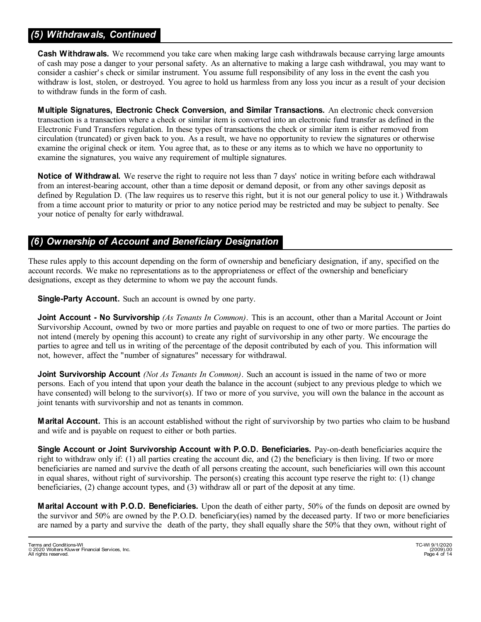## *(5) Withdrawals, Continued*

**Cash Withdrawals.** We recommend you take care when making large cash withdrawals because carrying large amounts of cash may pose a danger to your personal safety. As an alternative to making a large cash withdrawal, you may want to consider a cashier's check or similar instrument. You assume full responsibility of any loss in the event the cash you withdraw is lost, stolen, or destroyed. You agree to hold us harmless from any loss you incur as a result of your decision to withdraw funds in the form of cash.

**Multiple Signatures, Electronic Check Conversion, and Similar Transactions.** An electronic check conversion transaction is a transaction where a check or similar item is converted into an electronic fund transfer as defined in the Electronic Fund Transfers regulation. In these types of transactions the check or similar item is either removed from circulation (truncated) or given back to you. As a result, we have no opportunity to review the signatures or otherwise examine the original check or item. You agree that, as to these or any items as to which we have no opportunity to examine the signatures, you waive any requirement of multiple signatures.

**Notice of Withdrawal.** We reserve the right to require not less than 7 days' notice in writing before each withdrawal from an interest-bearing account, other than a time deposit or demand deposit, or from any other savings deposit as defined by Regulation D. (The law requires us to reserve this right, but it is not our general policy to use it.) Withdrawals from a time account prior to maturity or prior to any notice period may be restricted and may be subject to penalty. See your notice of penalty for early withdrawal.

## *(6) Ownership of Account and Beneficiary Designation*

These rules apply to this account depending on the form of ownership and beneficiary designation, if any, specified on the account records. We make no representations as to the appropriateness or effect of the ownership and beneficiary designations, except as they determine to whom we pay the account funds.

**Single-Party Account.** Such an account is owned by one party.

**Joint Account - No Survivorship** *(As Tenants In Common)*. This is an account, other than a Marital Account or Joint Survivorship Account, owned by two or more parties and payable on request to one of two or more parties. The parties do not intend (merely by opening this account) to create any right of survivorship in any other party. We encourage the parties to agree and tell us in writing of the percentage of the deposit contributed by each of you. This information will not, however, affect the "number of signatures" necessary for withdrawal.

**Joint Survivorship Account** *(Not As Tenants In Common)*. Such an account is issued in the name of two or more persons. Each of you intend that upon your death the balance in the account (subject to any previous pledge to which we have consented) will belong to the survivor(s). If two or more of you survive, you will own the balance in the account as joint tenants with survivorship and not as tenants in common.

**Marital Account.** This is an account established without the right of survivorship by two parties who claim to be husband and wife and is payable on request to either or both parties.

**Single Account or Joint Survivorship Account with P.O.D. Beneficiaries.** Pay-on-death beneficiaries acquire the right to withdraw only if: (1) all parties creating the account die, and (2) the beneficiary is then living. If two or more beneficiaries are named and survive the death of all persons creating the account, such beneficiaries will own this account in equal shares, without right of survivorship. The person(s) creating this account type reserve the right to: (1) change beneficiaries, (2) change account types, and (3) withdraw all or part of the deposit at any time.

**Marital Account with P.O.D. Beneficiaries.** Upon the death of either party, 50% of the funds on deposit are owned by the survivor and 50% are owned by the P.O.D. beneficiary(ies) named by the deceased party. If two or more beneficiaries are named by a party and survive the death of the party, they shall equally share the 50% that they own, without right of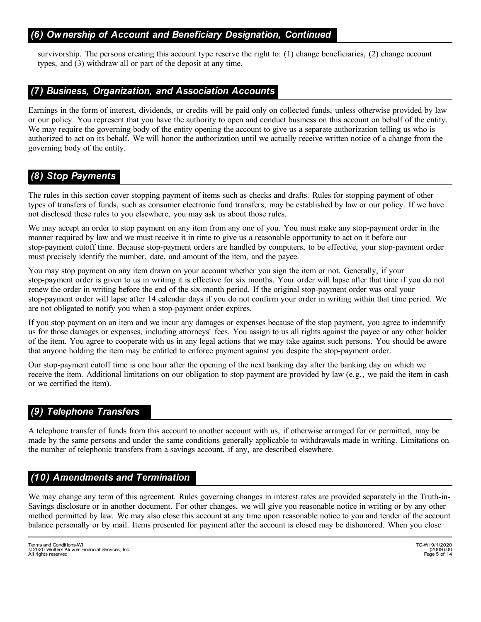#### *(6) Ownership of Account and Beneficiary Designation, Continued*

survivorship. The persons creating this account type reserve the right to: (1) change beneficiaries, (2) change account types, and (3) withdraw all or part of the deposit at any time.

#### *(7) Business, Organization, and Association Accounts*

Earnings in the form of interest, dividends, or credits will be paid only on collected funds, unless otherwise provided by law or our policy. You represent that you have the authority to open and conduct business on this account on behalf of the entity. We may require the governing body of the entity opening the account to give us a separate authorization telling us who is authorized to act on its behalf. We will honor the authorization until we actually receive written notice of a change from the governing body of the entity.

#### *(8) Stop Payments*

The rules in this section cover stopping payment of items such as checks and drafts. Rules for stopping payment of other types of transfers of funds, such as consumer electronic fund transfers, may be established by law or our policy. If we have not disclosed these rules to you elsewhere, you may ask us about those rules.

We may accept an order to stop payment on any item from any one of you. You must make any stop-payment order in the manner required by law and we must receive it in time to give us a reasonable opportunity to act on it before our stop-payment cutoff time. Because stop-payment orders are handled by computers, to be effective, your stop-payment order must precisely identify the number, date, and amount of the item, and the payee.

You may stop payment on any item drawn on your account whether you sign the item or not. Generally, if your stop-payment order is given to us in writing it is effective for six months. Your order will lapse after that time if you do not renew the order in writing before the end of the six-month period. If the original stop-payment order was oral your stop-payment order will lapse after 14 calendar days if you do not confirm your order in writing within that time period. We are not obligated to notify you when a stop-payment order expires.

If you stop payment on an item and we incur any damages or expenses because of the stop payment, you agree to indemnify us for those damages or expenses, including attorneys' fees. You assign to us all rights against the payee or any other holder of the item. You agree to cooperate with us in any legal actions that we may take against such persons. You should be aware that anyone holding the item may be entitled to enforce payment against you despite the stop-payment order.

Our stop-payment cutoff time is one hour after the opening of the next banking day after the banking day on which we receive the item. Additional limitations on our obligation to stop payment are provided by law (e.g., we paid the item in cash or we certified the item).

## *(9) Telephone Transfers*

A telephone transfer of funds from this account to another account with us, if otherwise arranged for or permitted, may be made by the same persons and under the same conditions generally applicable to withdrawals made in writing. Limitations on the number of telephonic transfers from a savings account, if any, are described elsewhere.

#### *(10) Amendments and Termination*

We may change any term of this agreement. Rules governing changes in interest rates are provided separately in the Truth-in-Savings disclosure or in another document. For other changes, we will give you reasonable notice in writing or by any other method permitted by law. We may also close this account at any time upon reasonable notice to you and tender of the account balance personally or by mail. Items presented for payment after the account is closed may be dishonored. When you close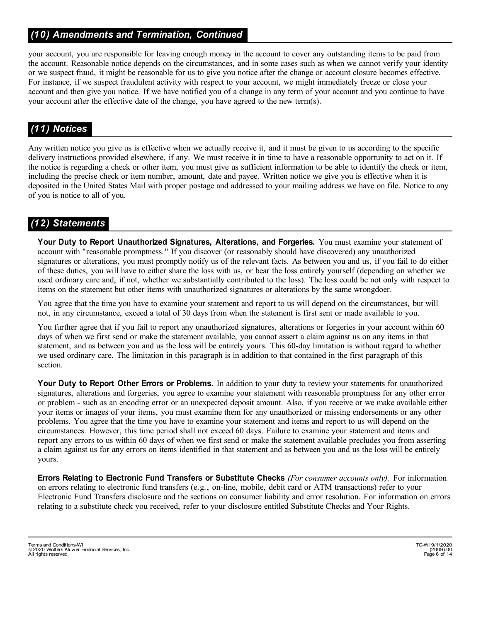# *(10) Amendments and Termination, Continued*

your account, you are responsible for leaving enough money in the account to cover any outstanding items to be paid from the account. Reasonable notice depends on the circumstances, and in some cases such as when we cannot verify your identity or we suspect fraud, it might be reasonable for us to give you notice after the change or account closure becomes effective. For instance, if we suspect fraudulent activity with respect to your account, we might immediately freeze or close your account and then give you notice. If we have notified you of a change in any term of your account and you continue to have your account after the effective date of the change, you have agreed to the new term(s).

# *(11) Notices*

Any written notice you give us is effective when we actually receive it, and it must be given to us according to the specific delivery instructions provided elsewhere, if any. We must receive it in time to have a reasonable opportunity to act on it. If the notice is regarding a check or other item, you must give us sufficient information to be able to identify the check or item, including the precise check or item number, amount, date and payee. Written notice we give you is effective when it is deposited in the United States Mail with proper postage and addressed to your mailing address we have on file. Notice to any of you is notice to all of you.

## *(12) Statements*

**Your Duty to Report Unauthorized Signatures, Alterations, and Forgeries.** You must examine your statement of account with "reasonable promptness." If you discover (or reasonably should have discovered) any unauthorized signatures or alterations, you must promptly notify us of the relevant facts. As between you and us, if you fail to do either of these duties, you will have to either share the loss with us, or bear the loss entirely yourself (depending on whether we used ordinary care and, if not, whether we substantially contributed to the loss). The loss could be not only with respect to items on the statement but other items with unauthorized signatures or alterations by the same wrongdoer.

You agree that the time you have to examine your statement and report to us will depend on the circumstances, but will not, in any circumstance, exceed a total of 30 days from when the statement is first sent or made available to you.

You further agree that if you fail to report any unauthorized signatures, alterations or forgeries in your account within 60 days of when we first send or make the statement available, you cannot assert a claim against us on any items in that statement, and as between you and us the loss will be entirely yours. This 60-day limitation is without regard to whether we used ordinary care. The limitation in this paragraph is in addition to that contained in the first paragraph of this section.

Your Duty to Report Other Errors or Problems. In addition to your duty to review your statements for unauthorized signatures, alterations and forgeries, you agree to examine your statement with reasonable promptness for any other error or problem - such as an encoding error or an unexpected deposit amount. Also, if you receive or we make available either your items or images of your items, you must examine them for any unauthorized or missing endorsements or any other problems. You agree that the time you have to examine your statement and items and report to us will depend on the circumstances. However, this time period shall not exceed 60 days. Failure to examine your statement and items and report any errors to us within 60 days of when we first send or make the statement available precludes you from asserting a claim against us for any errors on items identified in that statement and as between you and us the loss will be entirely yours.

**Errors Relating to Electronic Fund Transfers or Substitute Checks** *(For consumer accounts only)*. For information on errors relating to electronic fund transfers (e.g., on-line, mobile, debit card or ATM transactions) refer to your Electronic Fund Transfers disclosure and the sections on consumer liability and error resolution. For information on errors relating to a substitute check you received, refer to your disclosure entitled Substitute Checks and Your Rights.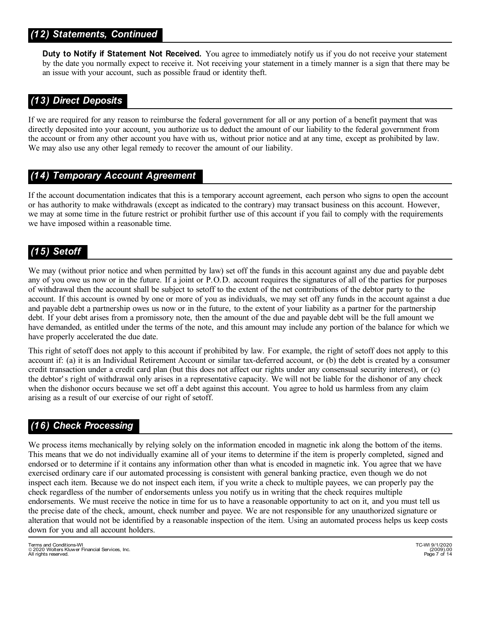## *(12) Statements, Continued*

**Duty to Notify if Statement Not Received.** You agree to immediately notify us if you do not receive your statement by the date you normally expect to receive it. Not receiving your statement in a timely manner is a sign that there may be an issue with your account, such as possible fraud or identity theft.

## *(13) Direct Deposits*

If we are required for any reason to reimburse the federal government for all or any portion of a benefit payment that was directly deposited into your account, you authorize us to deduct the amount of our liability to the federal government from the account or from any other account you have with us, without prior notice and at any time, except as prohibited by law. We may also use any other legal remedy to recover the amount of our liability.

#### *(14) Temporary Account Agreement*

If the account documentation indicates that this is a temporary account agreement, each person who signs to open the account or has authority to make withdrawals (except as indicated to the contrary) may transact business on this account. However, we may at some time in the future restrict or prohibit further use of this account if you fail to comply with the requirements we have imposed within a reasonable time.

# *(15) Setoff*

We may (without prior notice and when permitted by law) set off the funds in this account against any due and payable debt any of you owe us now or in the future. If a joint or P.O.D. account requires the signatures of all of the parties for purposes of withdrawal then the account shall be subject to setoff to the extent of the net contributions of the debtor party to the account. If this account is owned by one or more of you as individuals, we may set off any funds in the account against a due and payable debt a partnership owes us now or in the future, to the extent of your liability as a partner for the partnership debt. If your debt arises from a promissory note, then the amount of the due and payable debt will be the full amount we have demanded, as entitled under the terms of the note, and this amount may include any portion of the balance for which we have properly accelerated the due date.

This right of setoff does not apply to this account if prohibited by law. For example, the right of setoff does not apply to this account if: (a) it is an Individual Retirement Account or similar tax-deferred account, or (b) the debt is created by a consumer credit transaction under a credit card plan (but this does not affect our rights under any consensual security interest), or (c) the debtor' s right of withdrawal only arises in a representative capacity. We will not be liable for the dishonor of any check when the dishonor occurs because we set off a debt against this account. You agree to hold us harmless from any claim arising as a result of our exercise of our right of setoff.

#### *(16) Check Processing*

We process items mechanically by relying solely on the information encoded in magnetic ink along the bottom of the items. This means that we do not individually examine all of your items to determine if the item is properly completed, signed and endorsed or to determine if it contains any information other than what is encoded in magnetic ink. You agree that we have exercised ordinary care if our automated processing is consistent with general banking practice, even though we do not inspect each item. Because we do not inspect each item, if you write a check to multiple payees, we can properly pay the check regardless of the number of endorsements unless you notify us in writing that the check requires multiple endorsements. We must receive the notice in time for us to have a reasonable opportunity to act on it, and you must tell us the precise date of the check, amount, check number and payee. We are not responsible for any unauthorized signature or alteration that would not be identified by a reasonable inspection of the item. Using an automated process helps us keep costs down for you and all account holders.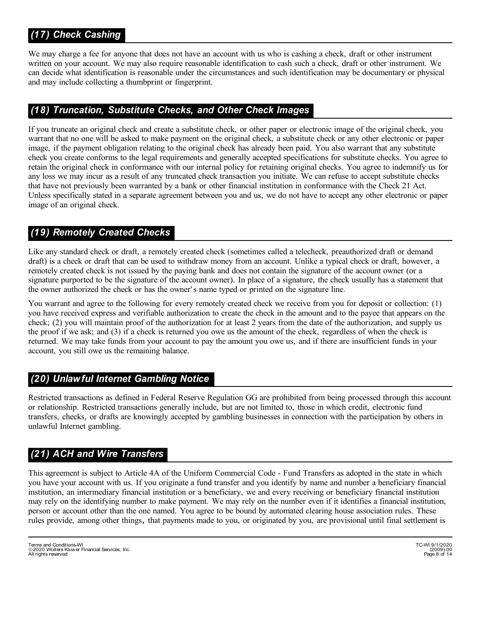# *(17) Check Cashing*

We may charge a fee for anyone that does not have an account with us who is cashing a check, draft or other instrument written on your account. We may also require reasonable identification to cash such a check, draft or other instrument. We can decide what identification is reasonable under the circumstances and such identification may be documentary or physical and may include collecting a thumbprint or fingerprint.

## *(18) Truncation, Substitute Checks, and Other Check Images*

If you truncate an original check and create a substitute check, or other paper or electronic image of the original check, you warrant that no one will be asked to make payment on the original check, a substitute check or any other electronic or paper image, if the payment obligation relating to the original check has already been paid. You also warrant that any substitute check you create conforms to the legal requirements and generally accepted specifications for substitute checks. You agree to retain the original check in conformance with our internal policy for retaining original checks. You agree to indemnify us for any loss we may incur as a result of any truncated check transaction you initiate. We can refuse to accept substitute checks that have not previously been warranted by a bank or other financial institution in conformance with the Check 21 Act. Unless specifically stated in a separate agreement between you and us, we do not have to accept any other electronic or paper image of an original check.

# *(19) Remotely Created Checks*

Like any standard check or draft, a remotely created check (sometimes called a telecheck, preauthorized draft or demand draft) is a check or draft that can be used to withdraw money from an account. Unlike a typical check or draft, however, a remotely created check is not issued by the paying bank and does not contain the signature of the account owner (or a signature purported to be the signature of the account owner). In place of a signature, the check usually has a statement that the owner authorized the check or has the owner' s name typed or printed on the signature line.

You warrant and agree to the following for every remotely created check we receive from you for deposit or collection: (1) you have received express and verifiable authorization to create the check in the amount and to the payee that appears on the check; (2) you will maintain proof of the authorization for at least 2 years from the date of the authorization, and supply us the proof if we ask; and (3) if a check is returned you owe us the amount of the check, regardless of when the check is returned. We may take funds from your account to pay the amount you owe us, and if there are insufficient funds in your account, you still owe us the remaining balance.

## *(20) Unlawful Internet Gambling Notice*

Restricted transactions as defined in Federal Reserve Regulation GG are prohibited from being processed through this account or relationship. Restricted transactions generally include, but are not limited to, those in which credit, electronic fund transfers, checks, or drafts are knowingly accepted by gambling businesses in connection with the participation by others in unlawful Internet gambling.

## *(21) ACH and Wire Transfers*

This agreement is subject to Article 4A of the Uniform Commercial Code - Fund Transfers as adopted in the state in which you have your account with us. If you originate a fund transfer and you identify by name and number a beneficiary financial institution, an intermediary financial institution or a beneficiary, we and every receiving or beneficiary financial institution may rely on the identifying number to make payment. We may rely on the number even if it identifies a financial institution, person or account other than the one named. You agree to be bound by automated clearing house association rules. These rules provide, among other things**,** that payments made to you, or originated by you, are provisional until final settlement is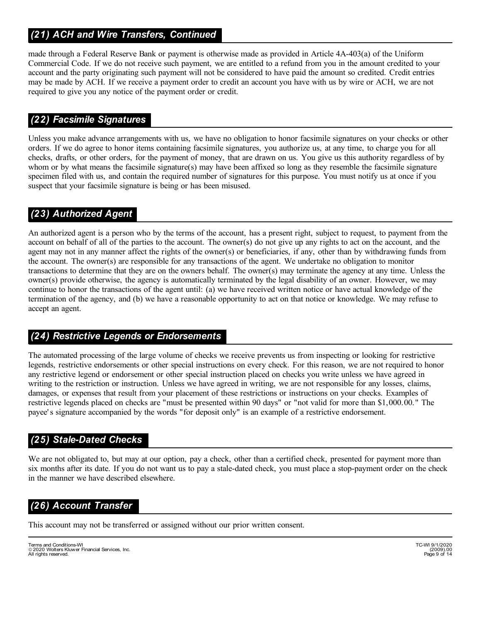# *(21) ACH and Wire Transfers, Continued*

made through a Federal Reserve Bank or payment is otherwise made as provided in Article 4A-403(a) of the Uniform Commercial Code. If we do not receive such payment, we are entitled to a refund from you in the amount credited to your account and the party originating such payment will not be considered to have paid the amount so credited. Credit entries may be made by ACH. If we receive a payment order to credit an account you have with us by wire or ACH, we are not required to give you any notice of the payment order or credit.

## *(22) Facsimile Signatures*

Unless you make advance arrangements with us, we have no obligation to honor facsimile signatures on your checks or other orders. If we do agree to honor items containing facsimile signatures, you authorize us, at any time, to charge you for all checks, drafts, or other orders, for the payment of money, that are drawn on us. You give us this authority regardless of by whom or by what means the facsimile signature(s) may have been affixed so long as they resemble the facsimile signature specimen filed with us, and contain the required number of signatures for this purpose. You must notify us at once if you suspect that your facsimile signature is being or has been misused.

# *(23) Authorized Agent*

An authorized agent is a person who by the terms of the account, has a present right, subject to request, to payment from the account on behalf of all of the parties to the account. The owner(s) do not give up any rights to act on the account, and the agent may not in any manner affect the rights of the owner(s) or beneficiaries, if any, other than by withdrawing funds from the account. The owner(s) are responsible for any transactions of the agent. We undertake no obligation to monitor transactions to determine that they are on the owners behalf. The owner(s) may terminate the agency at any time. Unless the owner(s) provide otherwise, the agency is automatically terminated by the legal disability of an owner. However, we may continue to honor the transactions of the agent until: (a) we have received written notice or have actual knowledge of the termination of the agency, and (b) we have a reasonable opportunity to act on that notice or knowledge. We may refuse to accept an agent.

## *(24) Restrictive Legends or Endorsements*

The automated processing of the large volume of checks we receive prevents us from inspecting or looking for restrictive legends, restrictive endorsements or other special instructions on every check. For this reason, we are not required to honor any restrictive legend or endorsement or other special instruction placed on checks you write unless we have agreed in writing to the restriction or instruction. Unless we have agreed in writing, we are not responsible for any losses, claims, damages, or expenses that result from your placement of these restrictions or instructions on your checks. Examples of restrictive legends placed on checks are "must be presented within 90 days" or "not valid for more than \$1,000.00." The payee' s signature accompanied by the words "for deposit only" is an example of a restrictive endorsement.

## *(25) Stale-Dated Checks*

We are not obligated to, but may at our option, pay a check, other than a certified check, presented for payment more than six months after its date. If you do not want us to pay a stale-dated check, you must place a stop-payment order on the check in the manner we have described elsewhere.

## *(26) Account Transfer*

This account may not be transferred or assigned without our prior written consent.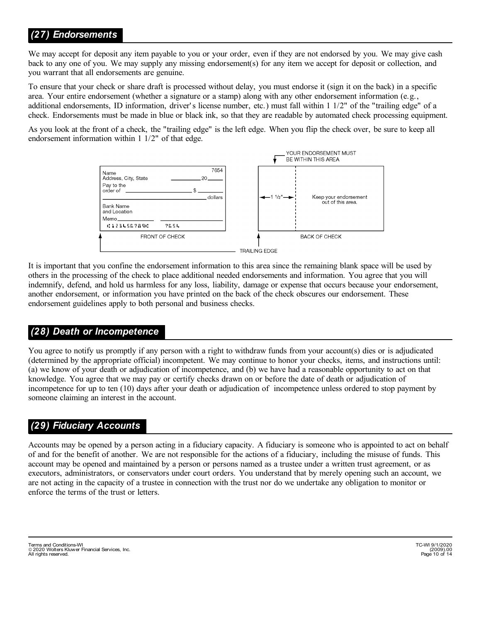## *(27) Endorsements*

We may accept for deposit any item payable to you or your order, even if they are not endorsed by you. We may give cash back to any one of you. We may supply any missing endorsement(s) for any item we accept for deposit or collection, and you warrant that all endorsements are genuine.

To ensure that your check or share draft is processed without delay, you must endorse it (sign it on the back) in a specific area. Your entire endorsement (whether a signature or a stamp) along with any other endorsement information (e.g., additional endorsements, ID information, driver's license number, etc.) must fall within 1 1/2" of the "trailing edge" of a check. Endorsements must be made in blue or black ink, so that they are readable by automated check processing equipment.

As you look at the front of a check, the "trailing edge" is the left edge. When you flip the check over, be sure to keep all endorsement information within 1 1/2" of that edge.



It is important that you confine the endorsement information to this area since the remaining blank space will be used by others in the processing of the check to place additional needed endorsements and information. You agree that you will indemnify, defend, and hold us harmless for any loss, liability, damage or expense that occurs because your endorsement, another endorsement, or information you have printed on the back of the check obscures our endorsement. These endorsement guidelines apply to both personal and business checks.

#### *(28) Death or Incompetence*

You agree to notify us promptly if any person with a right to withdraw funds from your account(s) dies or is adjudicated (determined by the appropriate official) incompetent. We may continue to honor your checks, items, and instructions until: (a) we know of your death or adjudication of incompetence, and (b) we have had a reasonable opportunity to act on that knowledge. You agree that we may pay or certify checks drawn on or before the date of death or adjudication of incompetence for up to ten (10) days after your death or adjudication of incompetence unless ordered to stop payment by someone claiming an interest in the account.

#### *(29) Fiduciary Accounts*

Accounts may be opened by a person acting in a fiduciary capacity. A fiduciary is someone who is appointed to act on behalf of and for the benefit of another. We are not responsible for the actions of a fiduciary, including the misuse of funds. This account may be opened and maintained by a person or persons named as a trustee under a written trust agreement, or as executors, administrators, or conservators under court orders. You understand that by merely opening such an account, we are not acting in the capacity of a trustee in connection with the trust nor do we undertake any obligation to monitor or enforce the terms of the trust or letters.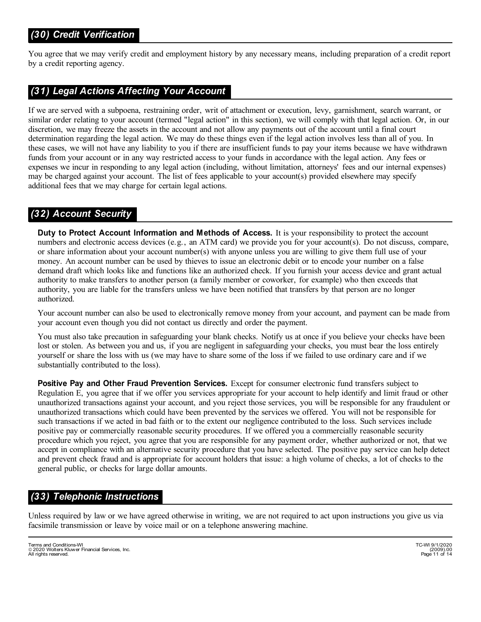You agree that we may verify credit and employment history by any necessary means, including preparation of a credit report by a credit reporting agency.

## *(31) Legal Actions Affecting Your Account*

If we are served with a subpoena, restraining order, writ of attachment or execution, levy, garnishment, search warrant, or similar order relating to your account (termed "legal action" in this section), we will comply with that legal action. Or, in our discretion, we may freeze the assets in the account and not allow any payments out of the account until a final court determination regarding the legal action. We may do these things even if the legal action involves less than all of you. In these cases, we will not have any liability to you if there are insufficient funds to pay your items because we have withdrawn funds from your account or in any way restricted access to your funds in accordance with the legal action. Any fees or expenses we incur in responding to any legal action (including, without limitation, attorneys' fees and our internal expenses) may be charged against your account. The list of fees applicable to your account(s) provided elsewhere may specify additional fees that we may charge for certain legal actions.

# *(32) Account Security*

**Duty to Protect Account Information and Methods of Access.** It is your responsibility to protect the account numbers and electronic access devices (e.g., an ATM card) we provide you for your account(s). Do not discuss, compare, or share information about your account number(s) with anyone unless you are willing to give them full use of your money. An account number can be used by thieves to issue an electronic debit or to encode your number on a false demand draft which looks like and functions like an authorized check. If you furnish your access device and grant actual authority to make transfers to another person (a family member or coworker, for example) who then exceeds that authority, you are liable for the transfers unless we have been notified that transfers by that person are no longer authorized.

Your account number can also be used to electronically remove money from your account, and payment can be made from your account even though you did not contact us directly and order the payment.

You must also take precaution in safeguarding your blank checks. Notify us at once if you believe your checks have been lost or stolen. As between you and us, if you are negligent in safeguarding your checks, you must bear the loss entirely yourself or share the loss with us (we may have to share some of the loss if we failed to use ordinary care and if we substantially contributed to the loss).

**Positive Pay and Other Fraud Prevention Services.** Except for consumer electronic fund transfers subject to Regulation E, you agree that if we offer you services appropriate for your account to help identify and limit fraud or other unauthorized transactions against your account, and you reject those services, you will be responsible for any fraudulent or unauthorized transactions which could have been prevented by the services we offered. You will not be responsible for such transactions if we acted in bad faith or to the extent our negligence contributed to the loss. Such services include positive pay or commercially reasonable security procedures. If we offered you a commercially reasonable security procedure which you reject, you agree that you are responsible for any payment order, whether authorized or not, that we accept in compliance with an alternative security procedure that you have selected. The positive pay service can help detect and prevent check fraud and is appropriate for account holders that issue: a high volume of checks, a lot of checks to the general public, or checks for large dollar amounts.

# *(33) Telephonic Instructions*

Unless required by law or we have agreed otherwise in writing, we are not required to act upon instructions you give us via facsimile transmission or leave by voice mail or on a telephone answering machine.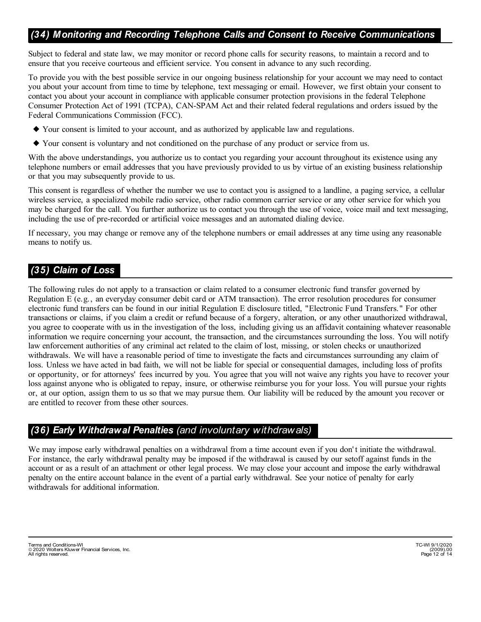### *(34) Monitoring and Recording Telephone Calls and Consent to Receive Communications*

Subject to federal and state law, we may monitor or record phone calls for security reasons, to maintain a record and to ensure that you receive courteous and efficient service. You consent in advance to any such recording.

To provide you with the best possible service in our ongoing business relationship for your account we may need to contact you about your account from time to time by telephone, text messaging or email. However, we first obtain your consent to contact you about your account in compliance with applicable consumer protection provisions in the federal Telephone Consumer Protection Act of 1991 (TCPA), CAN-SPAM Act and their related federal regulations and orders issued by the Federal Communications Commission (FCC).

- } Your consent is limited to your account, and as authorized by applicable law and regulations.
- } Your consent is voluntary and not conditioned on the purchase of any product or service from us.

With the above understandings, you authorize us to contact you regarding your account throughout its existence using any telephone numbers or email addresses that you have previously provided to us by virtue of an existing business relationship or that you may subsequently provide to us.

This consent is regardless of whether the number we use to contact you is assigned to a landline, a paging service, a cellular wireless service, a specialized mobile radio service, other radio common carrier service or any other service for which you may be charged for the call. You further authorize us to contact you through the use of voice, voice mail and text messaging, including the use of pre-recorded or artificial voice messages and an automated dialing device.

If necessary, you may change or remove any of the telephone numbers or email addresses at any time using any reasonable means to notify us.

## *(35) Claim of Loss*

The following rules do not apply to a transaction or claim related to a consumer electronic fund transfer governed by Regulation E (e.g., an everyday consumer debit card or ATM transaction). The error resolution procedures for consumer electronic fund transfers can be found in our initial Regulation E disclosure titled, "Electronic Fund Transfers." For other transactions or claims, if you claim a credit or refund because of a forgery, alteration, or any other unauthorized withdrawal, you agree to cooperate with us in the investigation of the loss, including giving us an affidavit containing whatever reasonable information we require concerning your account, the transaction, and the circumstances surrounding the loss. You will notify law enforcement authorities of any criminal act related to the claim of lost, missing, or stolen checks or unauthorized withdrawals. We will have a reasonable period of time to investigate the facts and circumstances surrounding any claim of loss. Unless we have acted in bad faith, we will not be liable for special or consequential damages, including loss of profits or opportunity, or for attorneys' fees incurred by you. You agree that you will not waive any rights you have to recover your loss against anyone who is obligated to repay, insure, or otherwise reimburse you for your loss. You will pursue your rights or, at our option, assign them to us so that we may pursue them. Our liability will be reduced by the amount you recover or are entitled to recover from these other sources.

#### *(36) Early Withdrawal Penalties (and involuntary withdrawals)*

We may impose early withdrawal penalties on a withdrawal from a time account even if you don't initiate the withdrawal. For instance, the early withdrawal penalty may be imposed if the withdrawal is caused by our setoff against funds in the account or as a result of an attachment or other legal process. We may close your account and impose the early withdrawal penalty on the entire account balance in the event of a partial early withdrawal. See your notice of penalty for early withdrawals for additional information.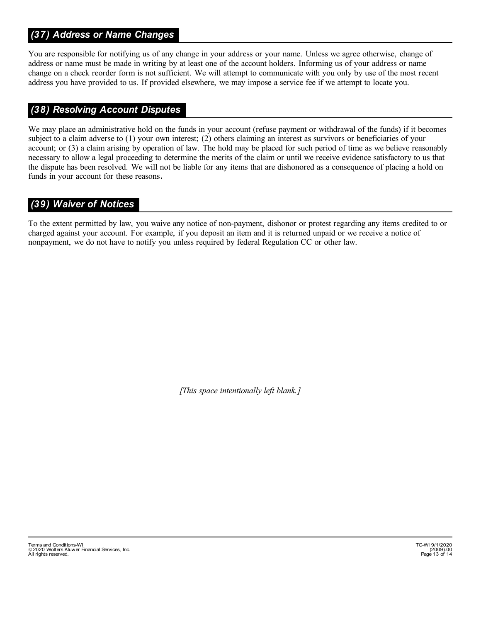## *(37) Address or Name Changes*

You are responsible for notifying us of any change in your address or your name. Unless we agree otherwise, change of address or name must be made in writing by at least one of the account holders. Informing us of your address or name change on a check reorder form is not sufficient. We will attempt to communicate with you only by use of the most recent address you have provided to us. If provided elsewhere, we may impose a service fee if we attempt to locate you.

#### *(38) Resolving Account Disputes*

We may place an administrative hold on the funds in your account (refuse payment or withdrawal of the funds) if it becomes subject to a claim adverse to (1) your own interest; (2) others claiming an interest as survivors or beneficiaries of your account; or (3) a claim arising by operation of law. The hold may be placed for such period of time as we believe reasonably necessary to allow a legal proceeding to determine the merits of the claim or until we receive evidence satisfactory to us that the dispute has been resolved. We will not be liable for any items that are dishonored as a consequence of placing a hold on funds in your account for these reasons**.**

#### *(39) Waiver of Notices*

To the extent permitted by law, you waive any notice of non-payment, dishonor or protest regarding any items credited to or charged against your account. For example, if you deposit an item and it is returned unpaid or we receive a notice of nonpayment, we do not have to notify you unless required by federal Regulation CC or other law.

*[This space intentionally left blank.]*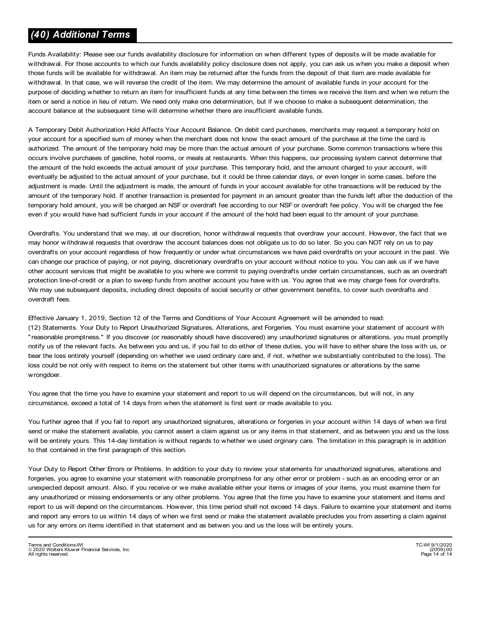## *(40) Additional Terms*

Funds Availability: Please see our funds availability disclosure for information on when different types of deposits will be made available for withdrawal. For those accounts to which our funds availability policy disclosure does not apply, you can ask us when you make a deposit when those funds will be available for withdrawal. An item may be returned after the funds from the deposit of that item are made available for withdrawal. In that case, we will reverse the credit of the item. We may determine the amount of available funds in your account for the purpose of deciding whether to return an item for insufficient funds at any time between the times we receive the item and when we return the item or send a notice in lieu of return. We need only make one determination, but if we choose to make a subsequent determination, the account balance at the subsequent time will determine whether there are insufficient available funds.

A Temporary Debit Authorization Hold Affects Your Account Balance. On debit card purchases, merchants may request a temporary hold on your account for a specified sum of money when the merchant does not know the exact amount of the purchase at the time the card is authorized. The amount of the temporary hold may be more than the actual amount of your purchase. Some common transactions where this occurs involve purchases of gasoline, hotel rooms, or meals at restaurants. When this happens, our processing system cannot determine that the amount of the hold exceeds the actual amount of your purchase. This temporary hold, and the amount charged to your account, will eventually be adjusted to the actual amount of your purchase, but it could be three calendar days, or even longer in some cases, before the adjustment is made. Until the adjustment is made, the amount of funds in your account available for othe transactions will be reduced by the amount of the temporary hold. If another transaction is presented for payment in an amount greater than the funds left after the deduction of the temporary hold amount, you will be charged an NSF or overdraft fee according to our NSF or overdraft fee policy. You will be charged the fee even if you would have had sufficient funds in your account if the amount of the hold had been equal to thr amount of your purchase.

Overdrafts. You understand that we may, at our discretion, honor withdrawal requests that overdraw your account. However, the fact that we may honor withdrawal requests that overdraw the account balances does not obligate us to do so later. So you can NOT rely on us to pay overdrafts on your account regardless of how frequently or under what circumstances we have paid overdrafts on your account in the past. We can change our practice of paying, or not paying, discretionary overdrafts on your account without notice to you. You can ask us if we have other account services that might be available to you where we commit to paying overdrafts under certain circumstances, such as an overdraft protection line-of-credit or a plan to sweep funds from another account you have with us. You agree that we may charge fees for overdrafts. We may use subsequent deposits, including direct deposits of social security or other government benefits, to cover such overdrafts and overdraft fees.

Effective January 1, 2019, Section 12 of the Terms and Conditions of Your Account Agreement will be amended to read: (12) Statements. Your Duty to Report Unauthorized Signatures, Alterations, and Forgeries. You must examine your statement of account with "reasonable promptness." If you discover (or reasonably shoudl have discovered) any unauthorized signatures or alterations, you must promptly notify us of the relevant facts. As between you and us, if you fail to do either of these duties, you will have to either share the loss with us, or bear the loss entirely yourself (depending on whether we used ordinary care and, if not, whether we substantially contributed to the loss). The loss could be not only with respect to items on the statement but other items with unauthorized signatures or alterations by the same wrongdoer.

You agree that the time you have to examine your statement and report to us will depend on the circumstances, but will not, in any circumstance, exceed a total of 14 days from when the statement is first sent or made available to you.

You further agree that if you fail to report any unauthorized signatures, alterations or forgeries in your account within 14 days of when we first send or make the statement available, you cannot assert a claim against us or any items in that statement, and as between you and us the loss will be entirely yours. This 14-day limitation is without regards to whether we used orginary care. The limitation in this paragraph is in addition to that contained in the first paragraph of this section.

Your Duty to Report Other Errors or Problems. In addition to your duty to review your statements for unauthorized signatures, alterations and forgeries, you agree to examine your statement with reasonable promptness for any other error or problem - such as an encoding error or an unexpected deposit amount. Also, if you receive or we make available either your items or images of your items, you must examine them for any unauthorized or missing endorsements or any other problems. You agree that the time you have to examine your statement and items and report to us will depend on the circumstances. However, this time period shall not exceed 14 days. Failure to examine your statement and items and report any errors to us within 14 days of when we first send or make the statement available precludes you from asserting a claim against us for any errors on items identified in that statement and as betwen you and us the loss will be entirely yours.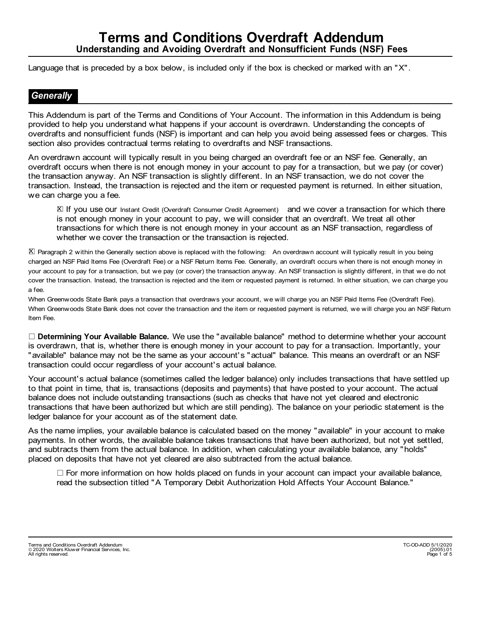Language that is preceded by a box below, is included only if the box is checked or marked with an "X".

#### *Generally*

This Addendum is part of the Terms and Conditions of Your Account. The information in this Addendum is being provided to help you understand what happens if your account is overdrawn. Understanding the concepts of overdrafts and nonsufficient funds (NSF) is important and can help you avoid being assessed fees or charges. This section also provides contractual terms relating to overdrafts and NSF transactions.

An overdrawn account will typically result in you being charged an overdraft fee or an NSF fee. Generally, an overdraft occurs when there is not enough money in your account to pay for a transaction, but we pay (or cover) the transaction anyway. An NSF transaction is slightly different. In an NSF transaction, we do not cover the transaction. Instead, the transaction is rejected and the item or requested payment is returned. In either situation, we can charge you a fee.

X If you use our Instant Credit (Overdraft Consumer Credit Agreement) and we cover a transaction for which there is not enough money in your account to pay, we will consider that an overdraft. We treat all other transactions for which there is not enough money in your account as an NSF transaction, regardless of whether we cover the transaction or the transaction is rejected.

 $\bar{\boxtimes}$  Paragraph 2 within the Generally section above is replaced with the following: An overdrawn account will typically result in you being charged an NSF Paid Items Fee (Overdraft Fee) or a NSF Return Items Fee. Generally, an overdraft occurs when there is not enough money in your account to pay for a transaction, but we pay (or cover) the transaction anyway. An NSF transaction is slightly different, in that we do not cover the transaction. Instead, the transaction is rejected and the item or requested payment is returned. In either situation, we can charge you a fee.

When Greenwoods State Bank pays a transaction that overdraws your account, we will charge you an NSF Paid Items Fee (Overdraft Fee). When Greenwoods State Bank does not cover the transaction and the item or requested payment is returned, we will charge you an NSF Return Item Fee.

l **Determining Your Available Balance.** We use the "available balance" method to determine whether your account is overdrawn, that is, whether there is enough money in your account to pay for a transaction. Importantly, your "available" balance may not be the same as your account's "actual" balance. This means an overdraft or an NSF transaction could occur regardless of your account's actual balance.

Your account's actual balance (sometimes called the ledger balance) only includes transactions that have settled up to that point in time, that is, transactions (deposits and payments) that have posted to your account. The actual balance does not include outstanding transactions (such as checks that have not yet cleared and electronic transactions that have been authorized but which are still pending). The balance on your periodic statement is the ledger balance for your account as of the statement date.

As the name implies, your available balance is calculated based on the money "available" in your account to make payments. In other words, the available balance takes transactions that have been authorized, but not yet settled, and subtracts them from the actual balance. In addition, when calculating your available balance, any "holds" placed on deposits that have not yet cleared are also subtracted from the actual balance.

 $\Box$  For more information on how holds placed on funds in your account can impact your available balance, read the subsection titled "A Temporary Debit Authorization Hold Affects Your Account Balance."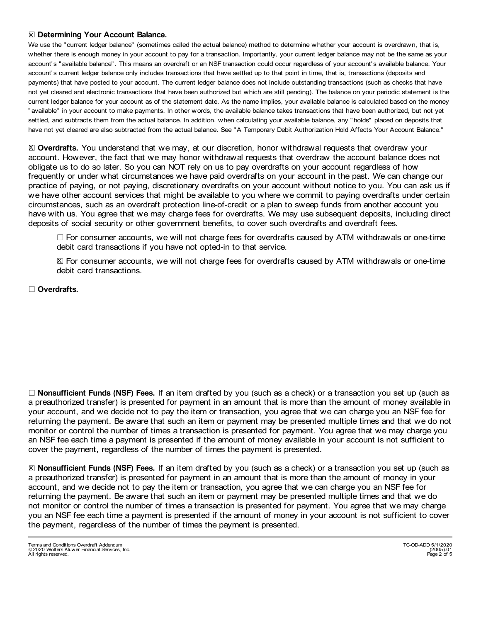#### lX **Determining Your Account Balance.**

We use the "current ledger balance" (sometimes called the actual balance) method to determine whether your account is overdrawn, that is, whether there is enough money in your account to pay for a transaction. Importantly, your current ledger balance may not be the same as your account's "available balance". This means an overdraft or an NSF transaction could occur regardless of your account's available balance. Your account's current ledger balance only includes transactions that have settled up to that point in time, that is, transactions (deposits and payments) that have posted to your account. The current ledger balance does not include outstanding transactions (such as checks that have not yet cleared and electronic transactions that have been authorized but which are still pending). The balance on your periodic statement is the current ledger balance for your account as of the statement date. As the name implies, your available balance is calculated based on the money "available" in your account to make payments. In other words, the available balance takes transactions that have been authorized, but not yet settled, and subtracts them from the actual balance. In addition, when calculating your available balance, any "holds" placed on deposits that have not yet cleared are also subtracted from the actual balance. See "A Temporary Debit Authorization Hold Affects Your Account Balance."

⊠ Overdrafts. You understand that we may, at our discretion, honor withdrawal requests that overdraw your account. However, the fact that we may honor withdrawal requests that overdraw the account balance does not obligate us to do so later. So you can NOT rely on us to pay overdrafts on your account regardless of how frequently or under what circumstances we have paid overdrafts on your account in the past. We can change our practice of paying, or not paying, discretionary overdrafts on your account without notice to you. You can ask us if we have other account services that might be available to you where we commit to paying overdrafts under certain circumstances, such as an overdraft protection line-of-credit or a plan to sweep funds from another account you have with us. You agree that we may charge fees for overdrafts. We may use subsequent deposits, including direct deposits of social security or other government benefits, to cover such overdrafts and overdraft fees.

 $\Box$  For consumer accounts, we will not charge fees for overdrafts caused by ATM withdrawals or one-time debit card transactions if you have not opted-in to that service.

⊠ For consumer accounts, we will not charge fees for overdrafts caused by ATM withdrawals or one-time debit card transactions.

#### □ Overdrafts.

□ **Nonsufficient Funds (NSF) Fees.** If an item drafted by you (such as a check) or a transaction you set up (such as a preauthorized transfer) is presented for payment in an amount that is more than the amount of money available in your account, and we decide not to pay the item or transaction, you agree that we can charge you an NSF fee for returning the payment. Be aware that such an item or payment may be presented multiple times and that we do not monitor or control the number of times a transaction is presented for payment. You agree that we may charge you an NSF fee each time a payment is presented if the amount of money available in your account is not sufficient to cover the payment, regardless of the number of times the payment is presented.

l **Nonsufficient Funds (NSF) Fees.** If an item drafted by you (such as a check) or a transaction you set up (such as Xa preauthorized transfer) is presented for payment in an amount that is more than the amount of money in your account, and we decide not to pay the item or transaction, you agree that we can charge you an NSF fee for returning the payment. Be aware that such an item or payment may be presented multiple times and that we do not monitor or control the number of times a transaction is presented for payment. You agree that we may charge you an NSF fee each time a payment is presented if the amount of money in your account is not sufficient to cover the payment, regardless of the number of times the payment is presented.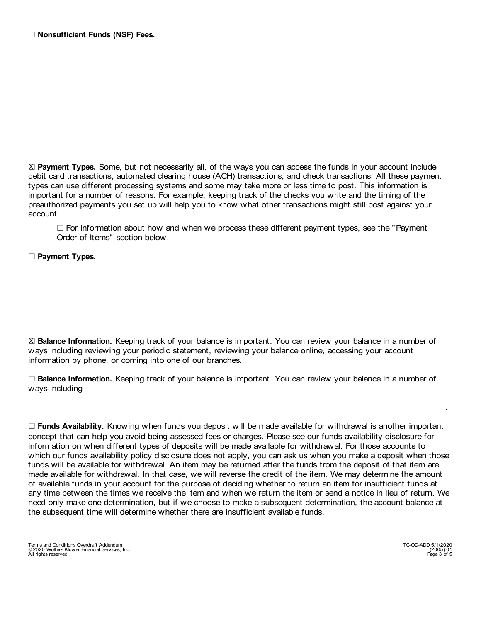⊠ Payment Types. Some, but not necessarily all, of the ways you can access the funds in your account include debit card transactions, automated clearing house (ACH) transactions, and check transactions. All these payment types can use different processing systems and some may take more or less time to post. This information is important for a number of reasons. For example, keeping track of the checks you write and the timing of the preauthorized payments you set up will help you to know what other transactions might still post against your account.

 $\Box$  For information about how and when we process these different payment types, see the "Payment Order of Items" section below.

l **Payment Types.**

**E Balance Information.** Keeping track of your balance is important. You can review your balance in a number of ways including reviewing your periodic statement, reviewing your balance online, accessing your account information by phone, or coming into one of our branches.

□ **Balance Information.** Keeping track of your balance is important. You can review your balance in a number of ways including

 $\Box$  **Funds Availability.** Knowing when funds you deposit will be made available for withdrawal is another important concept that can help you avoid being assessed fees or charges. Please see our funds availability disclosure for information on when different types of deposits will be made available for withdrawal. For those accounts to which our funds availability policy disclosure does not apply, you can ask us when you make a deposit when those funds will be available for withdrawal. An item may be returned after the funds from the deposit of that item are made available for withdrawal. In that case, we will reverse the credit of the item. We may determine the amount of available funds in your account for the purpose of deciding whether to return an item for insufficient funds at any time between the times we receive the item and when we return the item or send a notice in lieu of return. We need only make one determination, but if we choose to make a subsequent determination, the account balance at the subsequent time will determine whether there are insufficient available funds.

Terms and Conditions Overdraft Addendum TC-OD-ADD 5/1/2020 2020 Wolters Kluwer Financial Services, Inc. (2005).01 - All rights reserved. Page 3 of 5

.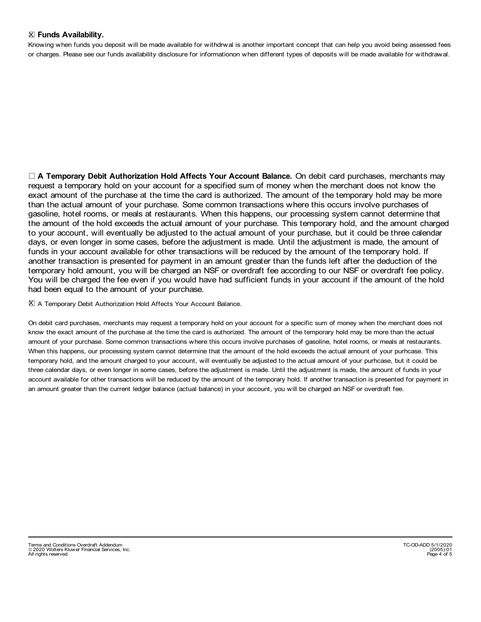#### lX **Funds Availability.**

Knowing when funds you deposit will be made available for withdrwal is another important concept that can help you avoid being assessed fees or charges. Please see our funds availability disclosure for informationon when different types of deposits will be made available for withdrawal.

l **A Temporary Debit Authorization Hold Affects Your Account Balance.** On debit card purchases, merchants may request a temporary hold on your account for a specified sum of money when the merchant does not know the exact amount of the purchase at the time the card is authorized. The amount of the temporary hold may be more than the actual amount of your purchase. Some common transactions where this occurs involve purchases of gasoline, hotel rooms, or meals at restaurants. When this happens, our processing system cannot determine that the amount of the hold exceeds the actual amount of your purchase. This temporary hold, and the amount charged to your account, will eventually be adjusted to the actual amount of your purchase, but it could be three calendar days, or even longer in some cases, before the adjustment is made. Until the adjustment is made, the amount of funds in your account available for other transactions will be reduced by the amount of the temporary hold. If another transaction is presented for payment in an amount greater than the funds left after the deduction of the temporary hold amount, you will be charged an NSF or overdraft fee according to our NSF or overdraft fee policy. You will be charged the fee even if you would have had sufficient funds in your account if the amount of the hold had been equal to the amount of your purchase.

#### l X A Temporary Debit Authorization Hold Affects Your Account Balance.

On debit card purchases, merchants may request a temporary hold on your account for a specific sum of money when the merchant does not know the exact amount of the purchase at the time the card is authorized. The amount of the temporary hold may be more than the actual amount of your purchase. Some common transactions where this occurs involve purchases of gasoline, hotel rooms, or meals at restaurants. When this happens, our processing system cannot determine that the amount of the hold exceeds the actual amount of your purhcase. This temporary hold, and the amount charged to your account, will eventually be adjusted to the actual amount of your purhcase, but it could be three calendar days, or even longer in some cases, before the adjustment is made. Until the adjustment is made, the amount of funds in your account available for other transactions will be reduced by the amount of the temporary hold. If another transaction is presented for payment in an amount greater than the current ledger balance (actual balance) in your account, you will be charged an NSF or overdraft fee.